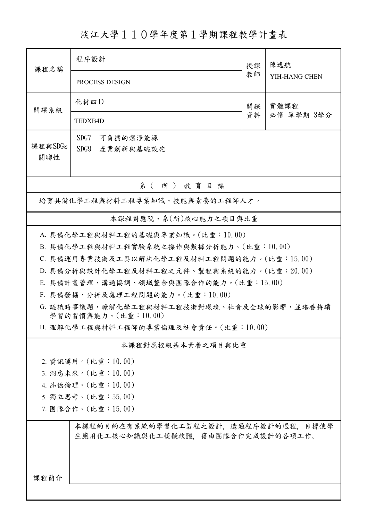淡江大學110學年度第1學期課程教學計畫表

| 課程名稱                                 | 程序設計                                                                     |          | 陳逸航                |  |  |  |
|--------------------------------------|--------------------------------------------------------------------------|----------|--------------------|--|--|--|
|                                      | PROCESS DESIGN                                                           | 教師       | YIH-HANG CHEN      |  |  |  |
| 開課系級                                 | 化材四D                                                                     | 開課<br>資料 | 實體課程<br>必修 單學期 3學分 |  |  |  |
|                                      | TEDXB4D                                                                  |          |                    |  |  |  |
| 課程與SDGs                              | SDG7<br>可負擔的潔淨能源                                                         |          |                    |  |  |  |
| 關聯性                                  | SDG9<br>產業創新與基礎設施                                                        |          |                    |  |  |  |
| 系(所)教育目標                             |                                                                          |          |                    |  |  |  |
| 培育具備化學工程與材料工程專業知識、技能與素養的工程師人才。       |                                                                          |          |                    |  |  |  |
| 本課程對應院、系(所)核心能力之項目與比重                |                                                                          |          |                    |  |  |  |
| A. 具備化學工程與材料工程的基礎與專業知識。(比重:10.00)    |                                                                          |          |                    |  |  |  |
|                                      | B. 具備化學工程與材料工程實驗系統之操作與數據分析能力。(比重:10.00)                                  |          |                    |  |  |  |
|                                      | C. 具備運用專業技術及工具以解決化學工程及材料工程問題的能力。(比重:15.00)                               |          |                    |  |  |  |
|                                      | D. 具備分析與設計化學工程及材料工程之元件、製程與系統的能力。(比重:20.00)                               |          |                    |  |  |  |
|                                      | E. 具備計畫管理、溝通協調、領域整合與團隊合作的能力。(比重:15.00)                                   |          |                    |  |  |  |
| F. 具備發掘、分析及處理工程問題的能力。(比重:10.00)      |                                                                          |          |                    |  |  |  |
|                                      | G. 認識時事議題,瞭解化學工程與材料工程技術對環境、社會及全球的影響,並培養持續<br>學習的習慣與能力。(比重:10.00)         |          |                    |  |  |  |
| H. 理解化學工程與材料工程師的專業倫理及社會責任。(比重:10.00) |                                                                          |          |                    |  |  |  |
| 本課程對應校級基本素養之項目與比重                    |                                                                          |          |                    |  |  |  |
|                                      | 2. 資訊運用。(比重:10.00)                                                       |          |                    |  |  |  |
|                                      | 3. 洞悉未來。(比重:10.00)                                                       |          |                    |  |  |  |
|                                      | 4. 品德倫理。(比重:10.00)                                                       |          |                    |  |  |  |
| 5. 獨立思考。(比重:55.00)                   |                                                                          |          |                    |  |  |  |
| 7. 團隊合作。(比重:15.00)                   |                                                                          |          |                    |  |  |  |
|                                      | 本課程的目的在有系統的學習化工製程之設計,透過程序設計的過程,目標使學<br>生應用化工核心知識與化工模擬軟體、藉由團隊合作完成設計的各項工作。 |          |                    |  |  |  |
| 課程簡介                                 |                                                                          |          |                    |  |  |  |
|                                      |                                                                          |          |                    |  |  |  |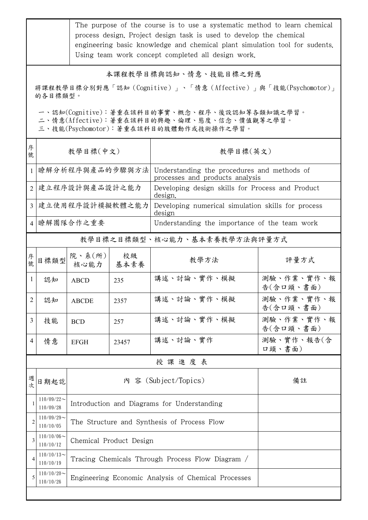|                                                                                                                                        | The purpose of the course is to use a systematic method to learn chemical<br>process design. Project design task is used to develop the chemical<br>engineering basic knowledge and chemical plant simulation tool for sudents.<br>Using team work concept completed all design work. |                                                     |            |                                                                                |                         |  |
|----------------------------------------------------------------------------------------------------------------------------------------|---------------------------------------------------------------------------------------------------------------------------------------------------------------------------------------------------------------------------------------------------------------------------------------|-----------------------------------------------------|------------|--------------------------------------------------------------------------------|-------------------------|--|
| 本課程教學目標與認知、情意、技能目標之對應<br>將課程教學目標分別對應「認知(Cognitive)」、「情意(Affective)」與「技能(Psychomotor)」<br>的各目標類型。                                       |                                                                                                                                                                                                                                                                                       |                                                     |            |                                                                                |                         |  |
| 一、認知(Cognitive):著重在該科目的事實、概念、程序、後設認知等各類知識之學習。<br>二、情意(Affective):著重在該科目的興趣、倫理、態度、信念、價值觀等之學習。<br>三、技能(Psychomotor):著重在該科目的肢體動作或技術操作之學習。 |                                                                                                                                                                                                                                                                                       |                                                     |            |                                                                                |                         |  |
| 序<br>號                                                                                                                                 |                                                                                                                                                                                                                                                                                       | 教學目標(中文)                                            |            | 教學目標(英文)                                                                       |                         |  |
| $\mathbf{1}$                                                                                                                           |                                                                                                                                                                                                                                                                                       | 瞭解分析程序與產品的步驟與方法                                     |            | Understanding the procedures and methods of<br>processes and products analysis |                         |  |
|                                                                                                                                        |                                                                                                                                                                                                                                                                                       | 2 建立程序設計與產品設計之能力                                    |            | Developing design skills for Process and Product<br>design.                    |                         |  |
|                                                                                                                                        |                                                                                                                                                                                                                                                                                       | 3 建立使用程序設計模擬軟體之能力                                   |            | Developing numerical simulation skills for process<br>design                   |                         |  |
|                                                                                                                                        |                                                                                                                                                                                                                                                                                       | 4 瞭解團隊合作之重要                                         |            | Understanding the importance of the team work                                  |                         |  |
|                                                                                                                                        | 教學目標之目標類型、核心能力、基本素養教學方法與評量方式                                                                                                                                                                                                                                                          |                                                     |            |                                                                                |                         |  |
| 序號                                                                                                                                     | 目標類型                                                                                                                                                                                                                                                                                  | 院、系(所)<br>核心能力                                      | 校級<br>基本素養 | 教學方法                                                                           | 評量方式                    |  |
| -1                                                                                                                                     | 認知                                                                                                                                                                                                                                                                                    | <b>ABCD</b>                                         | 235        | 講述、討論、實作、模擬                                                                    | 測驗、作業、實作、報<br>告(含口頭、書面) |  |
| $\overline{2}$                                                                                                                         | 認知                                                                                                                                                                                                                                                                                    | <b>ABCDE</b>                                        | 2357       | 講述、討論、實作、模擬                                                                    | 測驗、作業、實作、報<br>告(含口頭、書面) |  |
| 3                                                                                                                                      | 技能                                                                                                                                                                                                                                                                                    | <b>BCD</b>                                          | 257        | 講述、討論、實作、模擬                                                                    | 測驗、作業、實作、報<br>告(含口頭、書面) |  |
| $\overline{4}$                                                                                                                         | 情意                                                                                                                                                                                                                                                                                    | <b>EFGH</b>                                         | 23457      | 講述、討論、實作                                                                       | 測驗、實作、報告(含<br>口頭、書面)    |  |
| 授課進度表                                                                                                                                  |                                                                                                                                                                                                                                                                                       |                                                     |            |                                                                                |                         |  |
| 週次                                                                                                                                     | 日期起訖                                                                                                                                                                                                                                                                                  | 內 容 (Subject/Topics)<br>備註                          |            |                                                                                |                         |  |
| 1                                                                                                                                      | $110/09/22$ ~<br>110/09/28                                                                                                                                                                                                                                                            | Introduction and Diagrams for Understanding         |            |                                                                                |                         |  |
| $\overline{2}$                                                                                                                         | $110/09/29$ ~<br>110/10/05                                                                                                                                                                                                                                                            | The Structure and Synthesis of Process Flow         |            |                                                                                |                         |  |
| 3                                                                                                                                      | $110/10/06$ ~<br>110/10/12                                                                                                                                                                                                                                                            | Chemical Product Design                             |            |                                                                                |                         |  |
| 4                                                                                                                                      | $110/10/13$ ~<br>110/10/19                                                                                                                                                                                                                                                            | Tracing Chemicals Through Process Flow Diagram /    |            |                                                                                |                         |  |
| 5                                                                                                                                      | $110/10/20$ ~<br>110/10/26                                                                                                                                                                                                                                                            | Engineering Economic Analysis of Chemical Processes |            |                                                                                |                         |  |
|                                                                                                                                        |                                                                                                                                                                                                                                                                                       |                                                     |            |                                                                                |                         |  |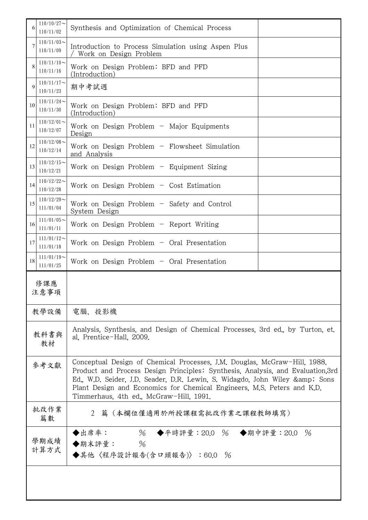| 6            | $110/10/27$ ~<br>110/11/02                                                                                                                                                                                                                                                                                                                                             | Synthesis and Optimization of Chemical Process                                                             |  |
|--------------|------------------------------------------------------------------------------------------------------------------------------------------------------------------------------------------------------------------------------------------------------------------------------------------------------------------------------------------------------------------------|------------------------------------------------------------------------------------------------------------|--|
| 7            | $110/11/03$ ~<br>110/11/09                                                                                                                                                                                                                                                                                                                                             | Introduction to Process Simulation using Aspen Plus<br>Work on Design Problem                              |  |
| 8            | $110/11/10$ ~<br>110/11/16                                                                                                                                                                                                                                                                                                                                             | Work on Design Problem: BFD and PFD<br>(Introduction)                                                      |  |
| $\mathbf Q$  | $110/11/17$ ~<br>110/11/23                                                                                                                                                                                                                                                                                                                                             | 期中考試週                                                                                                      |  |
| 10           | $110/11/24$ ~<br>110/11/30                                                                                                                                                                                                                                                                                                                                             | Work on Design Problem: BFD and PFD<br>(Introduction)                                                      |  |
| 11           | $110/12/01$ ~<br>110/12/07                                                                                                                                                                                                                                                                                                                                             | Work on Design Problem - Major Equipments<br>Design                                                        |  |
| 12           | $110/12/08$ ~<br>110/12/14                                                                                                                                                                                                                                                                                                                                             | Work on Design Problem $-$ Flowsheet Simulation<br>and Analysis                                            |  |
| 13           | $110/12/15$ ~<br>110/12/21                                                                                                                                                                                                                                                                                                                                             | Work on Design Problem $-$ Equipment Sizing                                                                |  |
| 14           | $110/12/22$ ~<br>110/12/28                                                                                                                                                                                                                                                                                                                                             | Work on Design Problem $-$ Cost Estimation                                                                 |  |
| 15           | $110/12/29$ ~<br>111/01/04                                                                                                                                                                                                                                                                                                                                             | Work on Design Problem - Safety and Control<br>System Design                                               |  |
| 16           | $111/01/05$ ~<br>111/01/11                                                                                                                                                                                                                                                                                                                                             | Work on Design Problem $-$ Report Writing                                                                  |  |
| 17           | $111/01/12$ ~<br>111/01/18                                                                                                                                                                                                                                                                                                                                             | Work on Design Problem $-$ Oral Presentation                                                               |  |
| 18           | $111/01/19$ ~<br>111/01/25                                                                                                                                                                                                                                                                                                                                             | Work on Design Problem $-$ Oral Presentation                                                               |  |
|              | 修課應<br>注意事項                                                                                                                                                                                                                                                                                                                                                            |                                                                                                            |  |
|              | 教學設備                                                                                                                                                                                                                                                                                                                                                                   | 電腦、投影機                                                                                                     |  |
| 教科書與<br>教材   |                                                                                                                                                                                                                                                                                                                                                                        | Analysis, Synthesis, and Design of Chemical Processes, 3rd ed., by Turton, et.<br>al. Prentice-Hall, 2009. |  |
|              | Conceptual Design of Chemical Processes, J.M. Douglas, McGraw-Hill, 1988.<br>參考文獻<br>Product and Process Design Principles: Synthesis, Analysis, and Evaluation, 3rd<br>Ed., W.D. Seider, J.D. Seader, D.R. Lewin, S. Widagdo, John Wiley & Sons<br>Plant Design and Economics for Chemical Engineers, M.S. Peters and K.D.<br>Timmerhaus, 4th ed., McGraw-Hill, 1991. |                                                                                                            |  |
|              | 批改作業<br>篇數                                                                                                                                                                                                                                                                                                                                                             | 2 篇 (本欄位僅適用於所授課程需批改作業之課程教師填寫)                                                                              |  |
| 學期成績<br>計算方式 | ◆出席率: 96 ◆平時評量: 20.0 % ◆期中評量: 20.0 %<br>◆期末評量: %<br>◆其他〈程序設計報告(含口頭報告)〉:60.0 %                                                                                                                                                                                                                                                                                          |                                                                                                            |  |
|              |                                                                                                                                                                                                                                                                                                                                                                        |                                                                                                            |  |